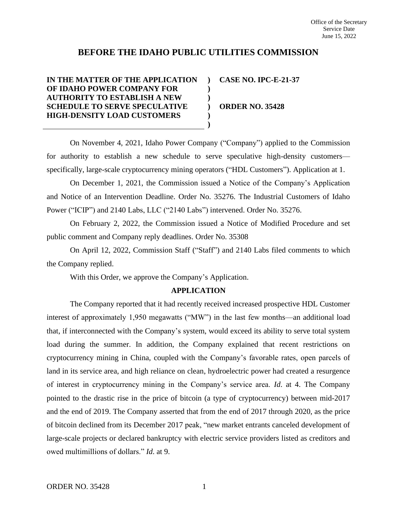# **BEFORE THE IDAHO PUBLIC UTILITIES COMMISSION**

**) ) ) ) ) )**

## **IN THE MATTER OF THE APPLICATION OF IDAHO POWER COMPANY FOR AUTHORITY TO ESTABLISH A NEW SCHEDULE TO SERVE SPECULATIVE HIGH-DENSITY LOAD CUSTOMERS**

**CASE NO. IPC-E-21-37**

**ORDER NO. 35428**

On November 4, 2021, Idaho Power Company ("Company") applied to the Commission for authority to establish a new schedule to serve speculative high-density customers specifically, large-scale cryptocurrency mining operators ("HDL Customers"). Application at 1.

On December 1, 2021, the Commission issued a Notice of the Company's Application and Notice of an Intervention Deadline. Order No. 35276. The Industrial Customers of Idaho Power ("ICIP") and 2140 Labs, LLC ("2140 Labs") intervened. Order No. 35276.

On February 2, 2022, the Commission issued a Notice of Modified Procedure and set public comment and Company reply deadlines. Order No. 35308

On April 12, 2022, Commission Staff ("Staff") and 2140 Labs filed comments to which the Company replied.

With this Order, we approve the Company's Application.

### **APPLICATION**

The Company reported that it had recently received increased prospective HDL Customer interest of approximately 1,950 megawatts ("MW") in the last few months—an additional load that, if interconnected with the Company's system, would exceed its ability to serve total system load during the summer. In addition, the Company explained that recent restrictions on cryptocurrency mining in China, coupled with the Company's favorable rates, open parcels of land in its service area, and high reliance on clean, hydroelectric power had created a resurgence of interest in cryptocurrency mining in the Company's service area. *Id*. at 4. The Company pointed to the drastic rise in the price of bitcoin (a type of cryptocurrency) between mid-2017 and the end of 2019. The Company asserted that from the end of 2017 through 2020, as the price of bitcoin declined from its December 2017 peak, "new market entrants canceled development of large-scale projects or declared bankruptcy with electric service providers listed as creditors and owed multimillions of dollars." *Id*. at 9.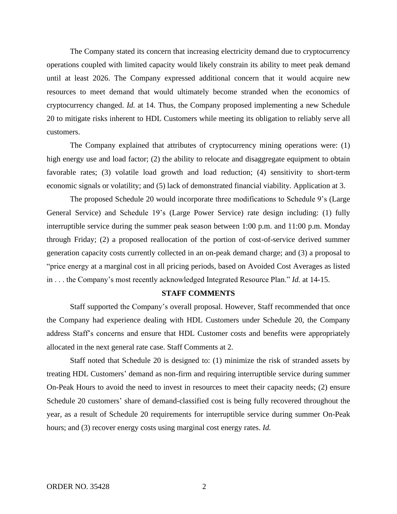The Company stated its concern that increasing electricity demand due to cryptocurrency operations coupled with limited capacity would likely constrain its ability to meet peak demand until at least 2026. The Company expressed additional concern that it would acquire new resources to meet demand that would ultimately become stranded when the economics of cryptocurrency changed. *Id.* at 14. Thus, the Company proposed implementing a new Schedule 20 to mitigate risks inherent to HDL Customers while meeting its obligation to reliably serve all customers.

The Company explained that attributes of cryptocurrency mining operations were: (1) high energy use and load factor; (2) the ability to relocate and disaggregate equipment to obtain favorable rates; (3) volatile load growth and load reduction; (4) sensitivity to short-term economic signals or volatility; and (5) lack of demonstrated financial viability. Application at 3.

The proposed Schedule 20 would incorporate three modifications to Schedule 9's (Large General Service) and Schedule 19's (Large Power Service) rate design including: (1) fully interruptible service during the summer peak season between 1:00 p.m. and 11:00 p.m. Monday through Friday; (2) a proposed reallocation of the portion of cost-of-service derived summer generation capacity costs currently collected in an on-peak demand charge; and (3) a proposal to "price energy at a marginal cost in all pricing periods, based on Avoided Cost Averages as listed in . . . the Company's most recently acknowledged Integrated Resource Plan." *Id.* at 14-15.

#### **STAFF COMMENTS**

Staff supported the Company's overall proposal. However, Staff recommended that once the Company had experience dealing with HDL Customers under Schedule 20, the Company address Staff's concerns and ensure that HDL Customer costs and benefits were appropriately allocated in the next general rate case. Staff Comments at 2.

Staff noted that Schedule 20 is designed to: (1) minimize the risk of stranded assets by treating HDL Customers' demand as non-firm and requiring interruptible service during summer On-Peak Hours to avoid the need to invest in resources to meet their capacity needs; (2) ensure Schedule 20 customers' share of demand-classified cost is being fully recovered throughout the year, as a result of Schedule 20 requirements for interruptible service during summer On-Peak hours; and (3) recover energy costs using marginal cost energy rates. *Id.*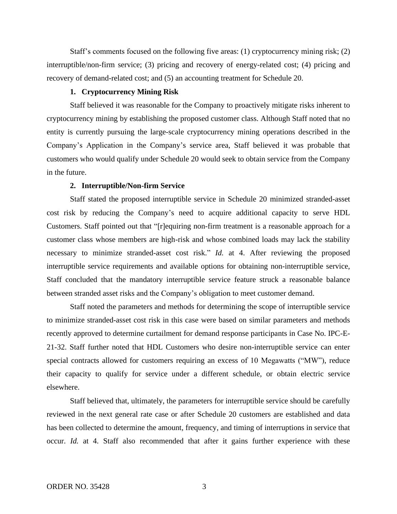Staff's comments focused on the following five areas: (1) cryptocurrency mining risk; (2) interruptible/non-firm service; (3) pricing and recovery of energy-related cost; (4) pricing and recovery of demand-related cost; and (5) an accounting treatment for Schedule 20.

#### **1. Cryptocurrency Mining Risk**

Staff believed it was reasonable for the Company to proactively mitigate risks inherent to cryptocurrency mining by establishing the proposed customer class. Although Staff noted that no entity is currently pursuing the large-scale cryptocurrency mining operations described in the Company's Application in the Company's service area, Staff believed it was probable that customers who would qualify under Schedule 20 would seek to obtain service from the Company in the future.

## **2. Interruptible/Non-firm Service**

Staff stated the proposed interruptible service in Schedule 20 minimized stranded-asset cost risk by reducing the Company's need to acquire additional capacity to serve HDL Customers. Staff pointed out that "[r]equiring non-firm treatment is a reasonable approach for a customer class whose members are high-risk and whose combined loads may lack the stability necessary to minimize stranded-asset cost risk." *Id.* at 4. After reviewing the proposed interruptible service requirements and available options for obtaining non-interruptible service, Staff concluded that the mandatory interruptible service feature struck a reasonable balance between stranded asset risks and the Company's obligation to meet customer demand.

Staff noted the parameters and methods for determining the scope of interruptible service to minimize stranded-asset cost risk in this case were based on similar parameters and methods recently approved to determine curtailment for demand response participants in Case No. IPC-E-21-32. Staff further noted that HDL Customers who desire non-interruptible service can enter special contracts allowed for customers requiring an excess of 10 Megawatts ("MW"), reduce their capacity to qualify for service under a different schedule, or obtain electric service elsewhere.

Staff believed that, ultimately, the parameters for interruptible service should be carefully reviewed in the next general rate case or after Schedule 20 customers are established and data has been collected to determine the amount, frequency, and timing of interruptions in service that occur. *Id.* at 4. Staff also recommended that after it gains further experience with these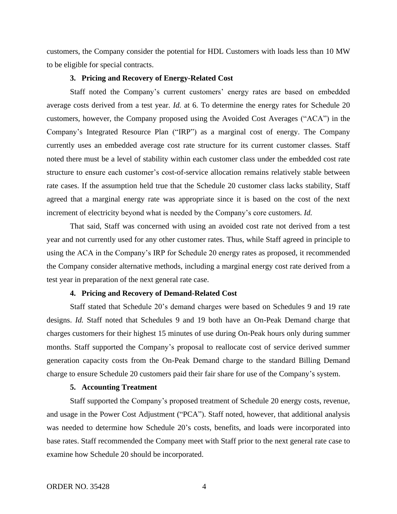customers, the Company consider the potential for HDL Customers with loads less than 10 MW to be eligible for special contracts.

### **3. Pricing and Recovery of Energy-Related Cost**

Staff noted the Company's current customers' energy rates are based on embedded average costs derived from a test year. *Id.* at 6. To determine the energy rates for Schedule 20 customers, however, the Company proposed using the Avoided Cost Averages ("ACA") in the Company's Integrated Resource Plan ("IRP") as a marginal cost of energy. The Company currently uses an embedded average cost rate structure for its current customer classes. Staff noted there must be a level of stability within each customer class under the embedded cost rate structure to ensure each customer's cost-of-service allocation remains relatively stable between rate cases. If the assumption held true that the Schedule 20 customer class lacks stability, Staff agreed that a marginal energy rate was appropriate since it is based on the cost of the next increment of electricity beyond what is needed by the Company's core customers. *Id.* 

That said, Staff was concerned with using an avoided cost rate not derived from a test year and not currently used for any other customer rates. Thus, while Staff agreed in principle to using the ACA in the Company's IRP for Schedule 20 energy rates as proposed, it recommended the Company consider alternative methods, including a marginal energy cost rate derived from a test year in preparation of the next general rate case.

#### **4. Pricing and Recovery of Demand-Related Cost**

Staff stated that Schedule 20's demand charges were based on Schedules 9 and 19 rate designs. *Id.* Staff noted that Schedules 9 and 19 both have an On-Peak Demand charge that charges customers for their highest 15 minutes of use during On-Peak hours only during summer months. Staff supported the Company's proposal to reallocate cost of service derived summer generation capacity costs from the On-Peak Demand charge to the standard Billing Demand charge to ensure Schedule 20 customers paid their fair share for use of the Company's system.

### **5. Accounting Treatment**

Staff supported the Company's proposed treatment of Schedule 20 energy costs, revenue, and usage in the Power Cost Adjustment ("PCA"). Staff noted, however, that additional analysis was needed to determine how Schedule 20's costs, benefits, and loads were incorporated into base rates. Staff recommended the Company meet with Staff prior to the next general rate case to examine how Schedule 20 should be incorporated.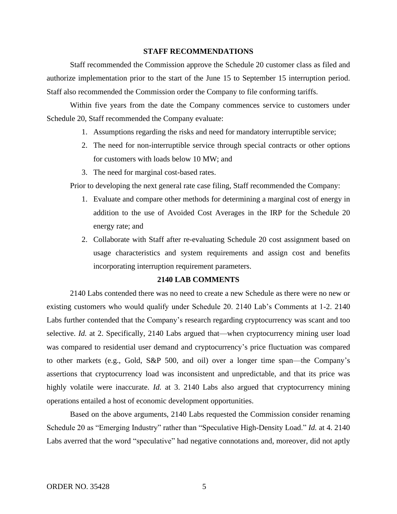#### **STAFF RECOMMENDATIONS**

Staff recommended the Commission approve the Schedule 20 customer class as filed and authorize implementation prior to the start of the June 15 to September 15 interruption period. Staff also recommended the Commission order the Company to file conforming tariffs.

Within five years from the date the Company commences service to customers under Schedule 20, Staff recommended the Company evaluate:

- 1. Assumptions regarding the risks and need for mandatory interruptible service;
- 2. The need for non-interruptible service through special contracts or other options for customers with loads below 10 MW; and
- 3. The need for marginal cost-based rates.

Prior to developing the next general rate case filing, Staff recommended the Company:

- 1. Evaluate and compare other methods for determining a marginal cost of energy in addition to the use of Avoided Cost Averages in the IRP for the Schedule 20 energy rate; and
- 2. Collaborate with Staff after re-evaluating Schedule 20 cost assignment based on usage characteristics and system requirements and assign cost and benefits incorporating interruption requirement parameters.

#### **2140 LAB COMMENTS**

2140 Labs contended there was no need to create a new Schedule as there were no new or existing customers who would qualify under Schedule 20. 2140 Lab's Comments at 1-2. 2140 Labs further contended that the Company's research regarding cryptocurrency was scant and too selective. *Id.* at 2. Specifically, 2140 Labs argued that—when cryptocurrency mining user load was compared to residential user demand and cryptocurrency's price fluctuation was compared to other markets (e.g., Gold, S&P 500, and oil) over a longer time span—the Company's assertions that cryptocurrency load was inconsistent and unpredictable, and that its price was highly volatile were inaccurate. *Id.* at 3. 2140 Labs also argued that cryptocurrency mining operations entailed a host of economic development opportunities.

Based on the above arguments, 2140 Labs requested the Commission consider renaming Schedule 20 as "Emerging Industry" rather than "Speculative High-Density Load." *Id.* at 4. 2140 Labs averred that the word "speculative" had negative connotations and, moreover, did not aptly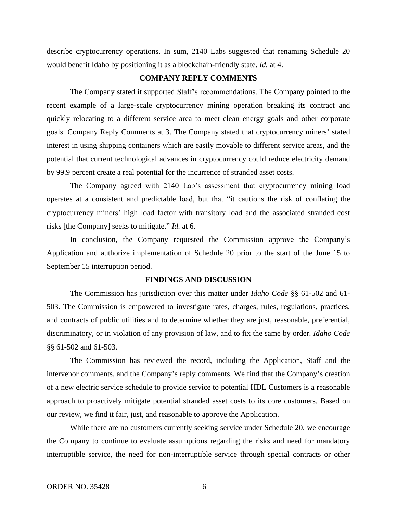describe cryptocurrency operations. In sum, 2140 Labs suggested that renaming Schedule 20 would benefit Idaho by positioning it as a blockchain-friendly state. *Id.* at 4.

## **COMPANY REPLY COMMENTS**

The Company stated it supported Staff's recommendations. The Company pointed to the recent example of a large-scale cryptocurrency mining operation breaking its contract and quickly relocating to a different service area to meet clean energy goals and other corporate goals. Company Reply Comments at 3. The Company stated that cryptocurrency miners' stated interest in using shipping containers which are easily movable to different service areas, and the potential that current technological advances in cryptocurrency could reduce electricity demand by 99.9 percent create a real potential for the incurrence of stranded asset costs.

The Company agreed with 2140 Lab's assessment that cryptocurrency mining load operates at a consistent and predictable load, but that "it cautions the risk of conflating the cryptocurrency miners' high load factor with transitory load and the associated stranded cost risks [the Company] seeks to mitigate." *Id.* at 6.

In conclusion, the Company requested the Commission approve the Company's Application and authorize implementation of Schedule 20 prior to the start of the June 15 to September 15 interruption period.

#### **FINDINGS AND DISCUSSION**

The Commission has jurisdiction over this matter under *Idaho Code* §§ 61-502 and 61- 503. The Commission is empowered to investigate rates, charges, rules, regulations, practices, and contracts of public utilities and to determine whether they are just, reasonable, preferential, discriminatory, or in violation of any provision of law, and to fix the same by order. *Idaho Code* §§ 61-502 and 61-503.

The Commission has reviewed the record, including the Application, Staff and the intervenor comments, and the Company's reply comments. We find that the Company's creation of a new electric service schedule to provide service to potential HDL Customers is a reasonable approach to proactively mitigate potential stranded asset costs to its core customers. Based on our review, we find it fair, just, and reasonable to approve the Application.

While there are no customers currently seeking service under Schedule 20, we encourage the Company to continue to evaluate assumptions regarding the risks and need for mandatory interruptible service, the need for non-interruptible service through special contracts or other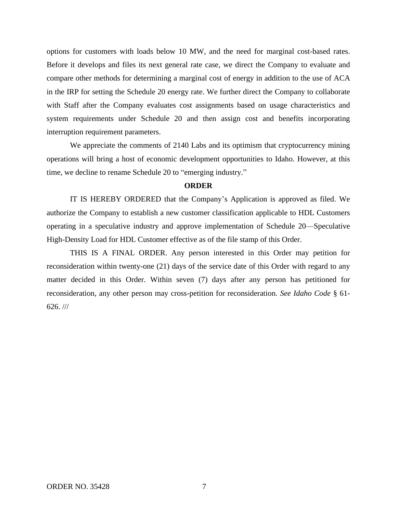options for customers with loads below 10 MW, and the need for marginal cost-based rates. Before it develops and files its next general rate case, we direct the Company to evaluate and compare other methods for determining a marginal cost of energy in addition to the use of ACA in the IRP for setting the Schedule 20 energy rate. We further direct the Company to collaborate with Staff after the Company evaluates cost assignments based on usage characteristics and system requirements under Schedule 20 and then assign cost and benefits incorporating interruption requirement parameters.

We appreciate the comments of 2140 Labs and its optimism that cryptocurrency mining operations will bring a host of economic development opportunities to Idaho. However, at this time, we decline to rename Schedule 20 to "emerging industry."

### **ORDER**

IT IS HEREBY ORDERED that the Company's Application is approved as filed. We authorize the Company to establish a new customer classification applicable to HDL Customers operating in a speculative industry and approve implementation of Schedule 20—Speculative High-Density Load for HDL Customer effective as of the file stamp of this Order.

THIS IS A FINAL ORDER. Any person interested in this Order may petition for reconsideration within twenty-one (21) days of the service date of this Order with regard to any matter decided in this Order. Within seven (7) days after any person has petitioned for reconsideration, any other person may cross-petition for reconsideration. *See Idaho Code* § 61- 626. ///